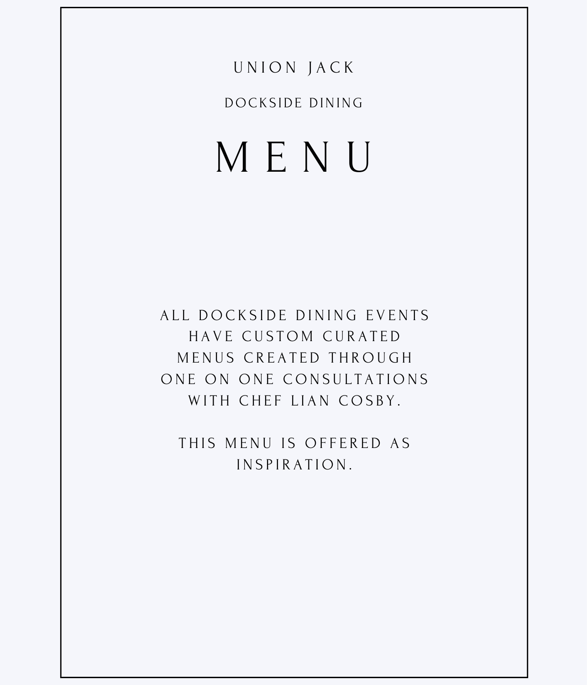# U N I O N J A C K

DOCKS IDE DINING

# M E N U

ALL DOCKSIDE DINING EVENTS HAVE CUSTOM CURATED MENUS CREATED THROUGH ONE ON ONE CONSULTATIONS WITH CHEF LIAN COSBY.

THIS MENU IS OFFERED AS INSPIRATION.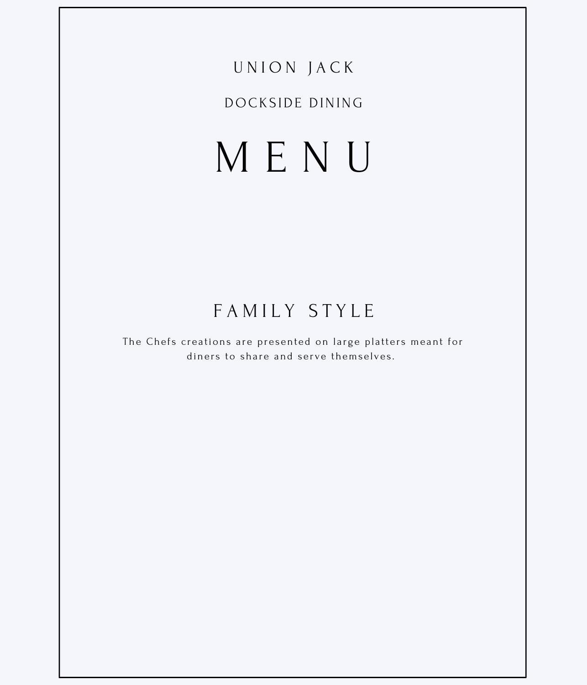### DOCKSIDE DINING

# MENU

# FAMILY STYLE

The Chefs creations are presented on large platters meant for diners to share and serve themselves.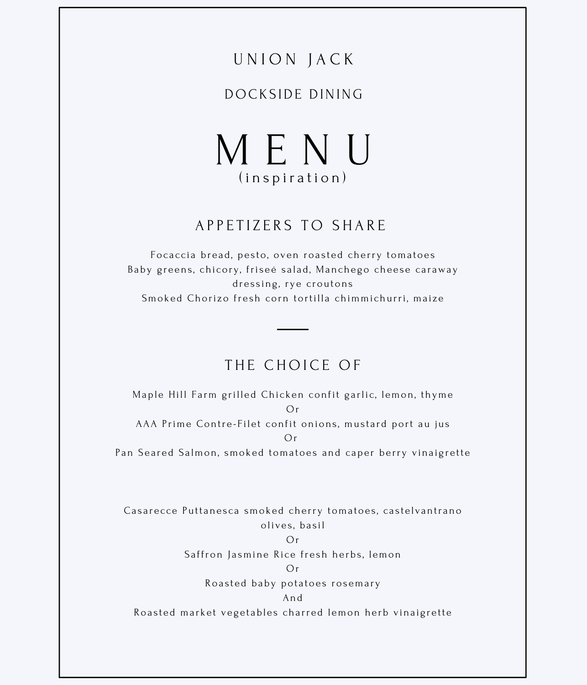#### DOCKS IDE DINING

M E N U (inspiration)

#### A P P E T I Z E R S T O S H A R E

Focaccia bread, pesto, oven roasted cherry tomatoes Baby greens, chicory, friseé salad, Manchego cheese caraway dressing, rye croutons Smoked Chorizo fresh corn tortilla chimmichurri, maize

#### THE CHOICE OF

Maple Hill Farm grilled Chicken confit garlic, lemon, thyme Or AAA Prime Contre-Filet confit onions, mustard port au jus Or Pan Seared Salmon, smoked tomatoes and caper berry vinaigrette

Casarecce Puttanesca smoked cherry tomatoes, castelvantrano oli ves , ba s il

#### Or

Saffron Jasmine Rice fresh herbs, lemon

#### Or

Roasted baby potatoes rosemary

#### And

Roasted market vegetables charred lemon herb vinaigrette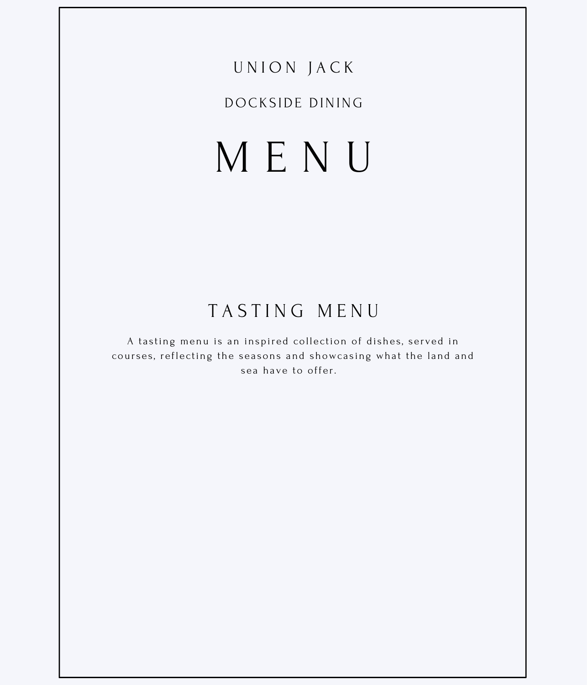### DOCKSIDE DINING

# MENU

# TASTING MENU

A tasting menu is an inspired collection of dishes, served in courses, reflecting the seasons and showcasing what the land and sea have to offer.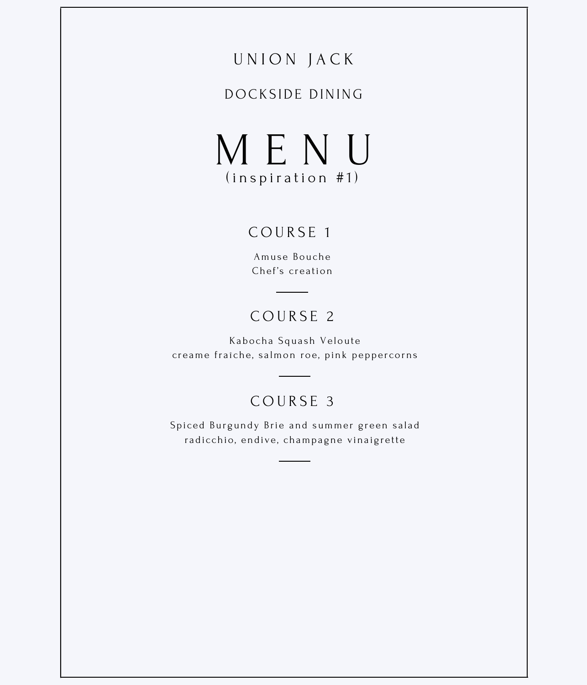#### DOCKS IDE DINING

M E N U  $(in$  spiration  $#1)$ 

#### COURSE<sub>1</sub>

Amuse Bouche Chef's creation

### C O U R S E 2

Kabocha Squash Veloute creame fraîche, salmon roe, pink peppercorns

# C O U R S E 3

Spiced Burgundy Brie and summer green salad radicchio, endive, champagne vinaigrette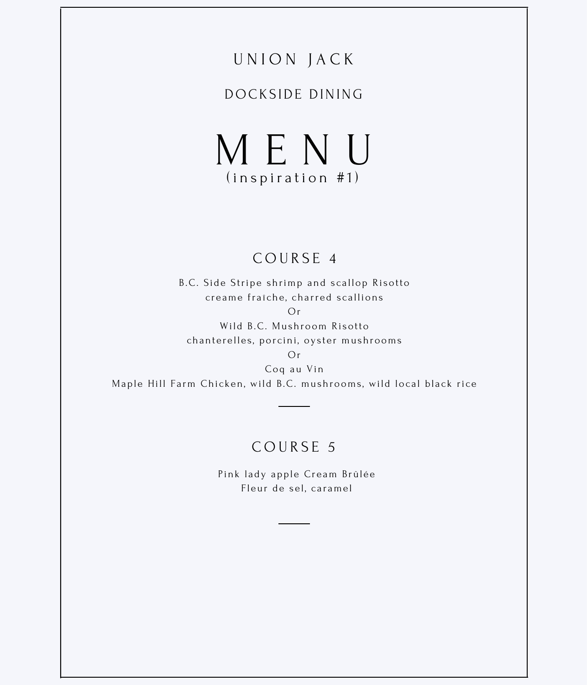### DOCKSIDE DINING

MENU  $(inspiration #1)$ 

#### COURSE 4

B.C. Side Stripe shrimp and scallop Risotto creame fraîche, charred scallions

 $O<sub>r</sub>$ 

Wild B.C. Mushroom Risotto chanterelles, porcini, oyster mushrooms

 $Or$ 

Coq au Vin Maple Hill Farm Chicken, wild B.C. mushrooms, wild local black rice

#### COURSE 5

Pink lady apple Cream Brûlée Fleur de sel, caramel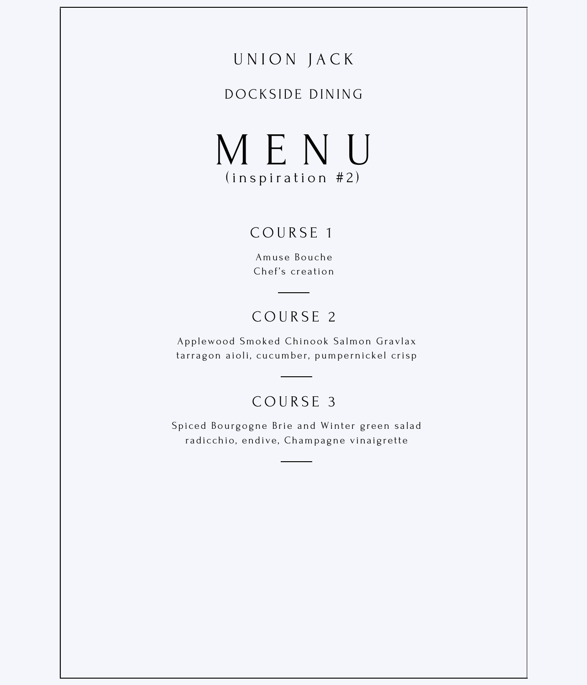#### DOCKS IDE DINING

M E N U  $(in$  spiration  $#2)$ 

#### C O U R S E 1

Amuse Bouche Chef's creation

## COURSE<sub>2</sub>

Applewood Smoked Chinook Salmon Gravlax tarragon aioli, cucumber, pumpernickel crisp

### COURSE<sub>3</sub>

Spiced Bourgogne Brie and Winter green salad radicchio, endive, Champagne vinaigrette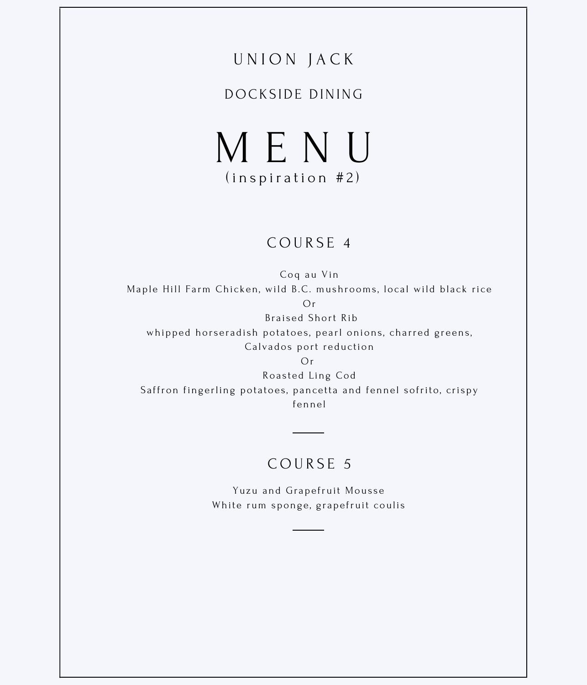#### DOCKS IDE DINING

M E N U  $(in$  spiration  $#2)$ 

#### C O U R S E 4

Coq au Vin Maple Hill Farm Chicken, wild B.C. mushrooms, local wild black rice Or Braised Short Rib whipped horseradish potatoes, pearl onions, charred greens, Calvados port reduction

Or Roasted Ling Cod Saffron fingerling potatoes, pancetta and fennel sofrito, crispy fennel

### COURSE<sub>5</sub>

Yuzu and Grapefruit Mousse White rum sponge, grapefruit coulis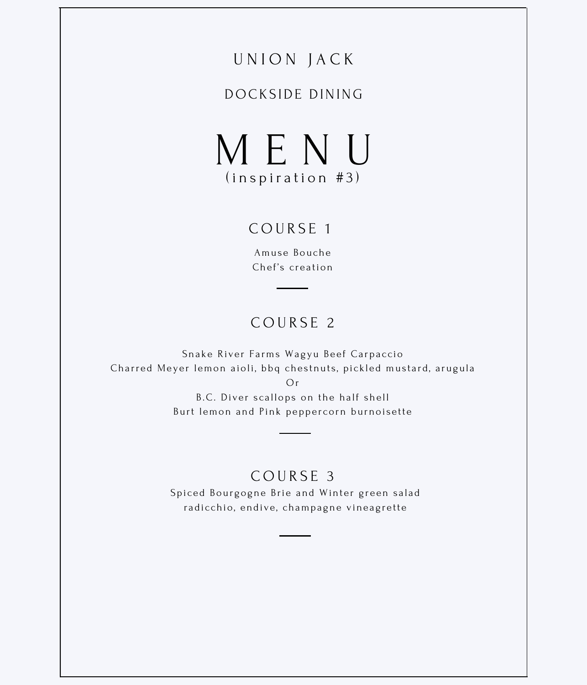#### DOCKS IDE DINING

M E N U  $(in$  spiration  $#3)$ 

#### COURSE<sub>1</sub>

Amuse Bouche Chef's creation

## COURSE<sub>2</sub>

Snake River Farms Wagyu Beef Carpaccio Charred Meyer lemon aioli, bbq chestnuts, pickled mustard, arugula

Or

B.C. Diver scallops on the half shell Burt lemon and Pink pepper corn burnoisette

#### COURSE<sub>3</sub>

Spiced Bourgogne Brie and Winter green salad radicchio, endive, champagne vineagrette